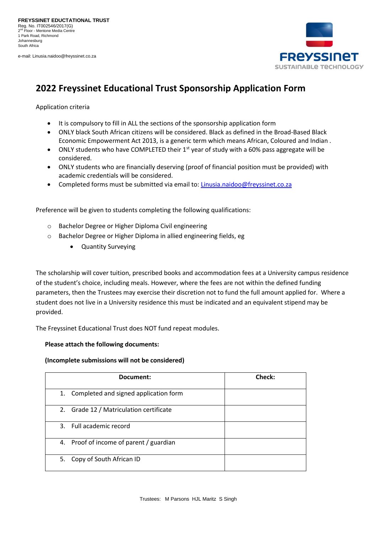e-mail: Linusia.naidoo@freyssinet.co.za



# **2022 Freyssinet Educational Trust Sponsorship Application Form**

Application criteria

- It is compulsory to fill in ALL the sections of the sponsorship application form
- ONLY black South African citizens will be considered. Black as defined in the Broad-Based Black Economic Empowerment Act 2013, is a generic term which means African, Coloured and Indian .
- ONLY students who have COMPLETED their  $1<sup>st</sup>$  year of study with a 60% pass aggregate will be considered.
- ONLY students who are financially deserving (proof of financial position must be provided) with academic credentials will be considered.
- Completed forms must be submitted via email to: [Linusia.naidoo@freyssinet.co.za](mailto:Linusia.naidoo@freyssinet.co.za)

Preference will be given to students completing the following qualifications:

- o Bachelor Degree or Higher Diploma Civil engineering
- o Bachelor Degree or Higher Diploma in allied engineering fields, eg
	- Quantity Surveying

The scholarship will cover tuition, prescribed books and accommodation fees at a University campus residence of the student's choice, including meals. However, where the fees are not within the defined funding parameters, then the Trustees may exercise their discretion not to fund the full amount applied for. Where a student does not live in a University residence this must be indicated and an equivalent stipend may be provided.

The Freyssinet Educational Trust does NOT fund repeat modules.

#### **Please attach the following documents:**

#### **(Incomplete submissions will not be considered)**

| Document:                                | Check: |
|------------------------------------------|--------|
| 1. Completed and signed application form |        |
| 2. Grade 12 / Matriculation certificate  |        |
| 3. Full academic record                  |        |
| 4. Proof of income of parent / guardian  |        |
| 5. Copy of South African ID              |        |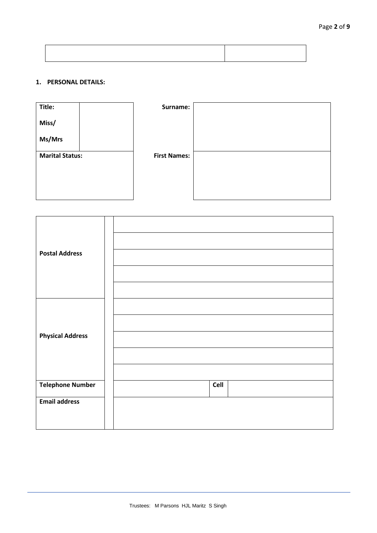## **1. PERSONAL DETAILS:**



| <b>Postal Address</b>                           |      |
|-------------------------------------------------|------|
| <b>Physical Address</b>                         |      |
| <b>Telephone Number</b><br><b>Email address</b> | Cell |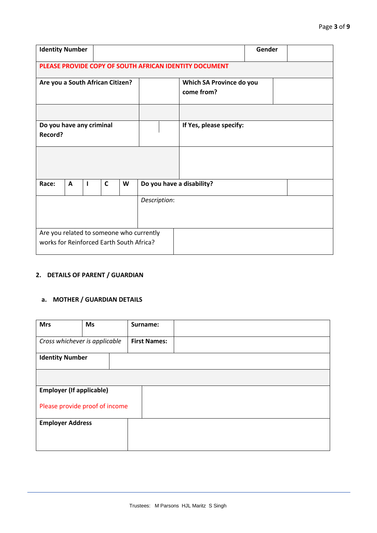| <b>Identity Number</b>                   |   |  |   |   |                                        |                                                        | Gender |  |
|------------------------------------------|---|--|---|---|----------------------------------------|--------------------------------------------------------|--------|--|
|                                          |   |  |   |   |                                        | PLEASE PROVIDE COPY OF SOUTH AFRICAN IDENTITY DOCUMENT |        |  |
| Are you a South African Citizen?         |   |  |   |   | Which SA Province do you<br>come from? |                                                        |        |  |
|                                          |   |  |   |   |                                        |                                                        |        |  |
| Do you have any criminal                 |   |  |   |   |                                        | If Yes, please specify:                                |        |  |
| Record?                                  |   |  |   |   |                                        |                                                        |        |  |
|                                          |   |  |   |   |                                        |                                                        |        |  |
| Race:                                    | A |  | C | W |                                        | Do you have a disability?                              |        |  |
|                                          |   |  |   |   | Description:                           |                                                        |        |  |
|                                          |   |  |   |   |                                        |                                                        |        |  |
| Are you related to someone who currently |   |  |   |   |                                        |                                                        |        |  |
| works for Reinforced Earth South Africa? |   |  |   |   |                                        |                                                        |        |  |

# **2. DETAILS OF PARENT / GUARDIAN**

#### **a. MOTHER / GUARDIAN DETAILS**

| <b>Mrs</b>                      | <b>Ms</b> | Surname:            |
|---------------------------------|-----------|---------------------|
| Cross whichever is applicable   |           | <b>First Names:</b> |
| <b>Identity Number</b>          |           |                     |
|                                 |           |                     |
| <b>Employer (If applicable)</b> |           |                     |
| Please provide proof of income  |           |                     |
| <b>Employer Address</b>         |           |                     |
|                                 |           |                     |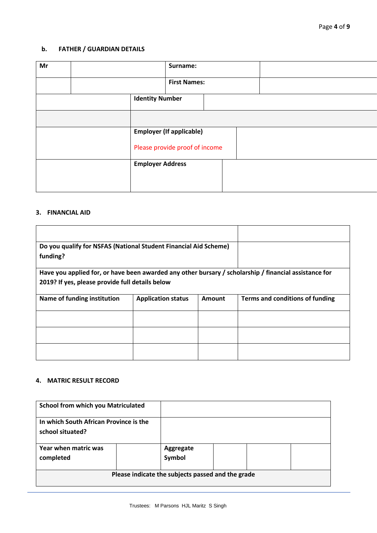#### **b. FATHER / GUARDIAN DETAILS**

| Mr |  | Surname:                |                                 |  |  |  |
|----|--|-------------------------|---------------------------------|--|--|--|
|    |  | <b>First Names:</b>     |                                 |  |  |  |
|    |  | <b>Identity Number</b>  |                                 |  |  |  |
|    |  |                         |                                 |  |  |  |
|    |  |                         | <b>Employer (If applicable)</b> |  |  |  |
|    |  |                         | Please provide proof of income  |  |  |  |
|    |  | <b>Employer Address</b> |                                 |  |  |  |
|    |  |                         |                                 |  |  |  |

### **3. FINANCIAL AID**

| Do you qualify for NSFAS (National Student Financial Aid Scheme) |                                                                                                       |  |
|------------------------------------------------------------------|-------------------------------------------------------------------------------------------------------|--|
| funding?                                                         |                                                                                                       |  |
| 2019? If yes, please provide full details below                  | Have you applied for, or have been awarded any other bursary / scholarship / financial assistance for |  |
| Name of funding institution                                      | Terms and conditions of funding                                                                       |  |
|                                                                  |                                                                                                       |  |
|                                                                  |                                                                                                       |  |
|                                                                  |                                                                                                       |  |

#### **4. MATRIC RESULT RECORD**

| <b>School from which you Matriculated</b>                  |                                                   |  |  |
|------------------------------------------------------------|---------------------------------------------------|--|--|
| In which South African Province is the<br>school situated? |                                                   |  |  |
| Year when matric was<br>completed                          | Aggregate<br>Symbol                               |  |  |
|                                                            | Please indicate the subjects passed and the grade |  |  |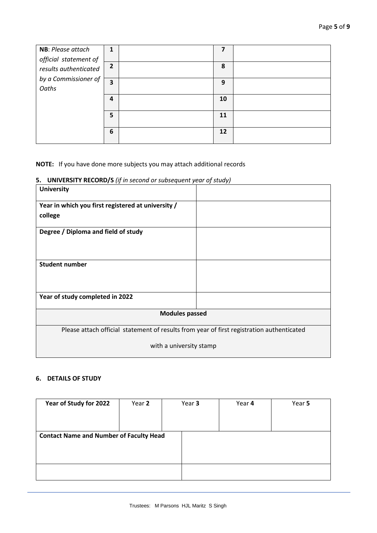| NB: Please attach     | 1              | 7  |  |
|-----------------------|----------------|----|--|
| official statement of |                |    |  |
| results authenticated | $\overline{2}$ | 8  |  |
| by a Commissioner of  | 3              | 9  |  |
| Oaths                 |                |    |  |
|                       | $\overline{a}$ | 10 |  |
|                       |                |    |  |
|                       | 5              | 11 |  |
|                       |                |    |  |
|                       | 6              | 12 |  |
|                       |                |    |  |

#### **NOTE:** If you have done more subjects you may attach additional records

# **5. UNIVERSITY RECORD/S** *(if in second or subsequent year of study)*

| <b>University</b>                                                                         |  |  |  |  |
|-------------------------------------------------------------------------------------------|--|--|--|--|
| Year in which you first registered at university /                                        |  |  |  |  |
| college                                                                                   |  |  |  |  |
| Degree / Diploma and field of study                                                       |  |  |  |  |
| <b>Student number</b>                                                                     |  |  |  |  |
| Year of study completed in 2022                                                           |  |  |  |  |
| <b>Modules passed</b>                                                                     |  |  |  |  |
| Please attach official statement of results from year of first registration authenticated |  |  |  |  |
| with a university stamp                                                                   |  |  |  |  |

## **6. DETAILS OF STUDY**

| Year of Study for 2022                         | Year 2 | Year 3 | Year 4 | Year 5 |
|------------------------------------------------|--------|--------|--------|--------|
| <b>Contact Name and Number of Faculty Head</b> |        |        |        |        |
|                                                |        |        |        |        |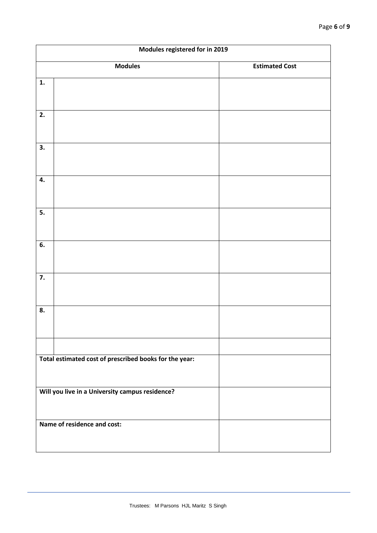|    | Modules registered for in 2019                         |                       |  |  |  |  |  |
|----|--------------------------------------------------------|-----------------------|--|--|--|--|--|
|    | <b>Modules</b>                                         | <b>Estimated Cost</b> |  |  |  |  |  |
| 1. |                                                        |                       |  |  |  |  |  |
| 2. |                                                        |                       |  |  |  |  |  |
| 3. |                                                        |                       |  |  |  |  |  |
| 4. |                                                        |                       |  |  |  |  |  |
| 5. |                                                        |                       |  |  |  |  |  |
| 6. |                                                        |                       |  |  |  |  |  |
| 7. |                                                        |                       |  |  |  |  |  |
| 8. |                                                        |                       |  |  |  |  |  |
|    |                                                        |                       |  |  |  |  |  |
|    | Total estimated cost of prescribed books for the year: |                       |  |  |  |  |  |
|    | Will you live in a University campus residence?        |                       |  |  |  |  |  |
|    | Name of residence and cost:                            |                       |  |  |  |  |  |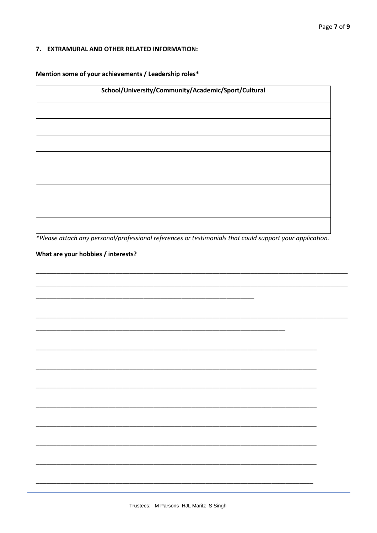#### 7. EXTRAMURAL AND OTHER RELATED INFORMATION:

Mention some of your achievements / Leadership roles\*

| School/University/Community/Academic/Sport/Cultural |
|-----------------------------------------------------|
|                                                     |
|                                                     |
|                                                     |
|                                                     |
|                                                     |
|                                                     |
|                                                     |
|                                                     |
|                                                     |

\*Please attach any personal/professional references or testimonials that could support your application.

#### What are your hobbies / interests?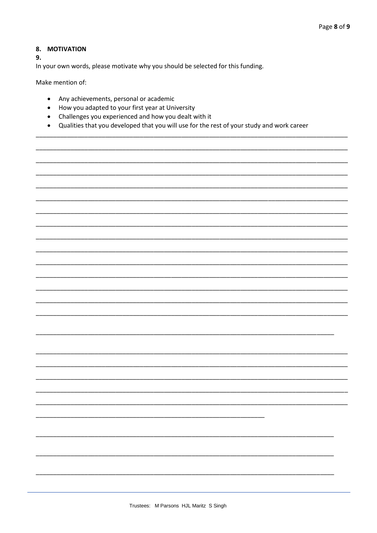#### 8. MOTIVATION

9.

In your own words, please motivate why you should be selected for this funding.

Make mention of:

- Any achievements, personal or academic
- How you adapted to your first year at University
- Challenges you experienced and how you dealt with it  $\bullet$
- Qualities that you developed that you will use for the rest of your study and work career  $\bullet$